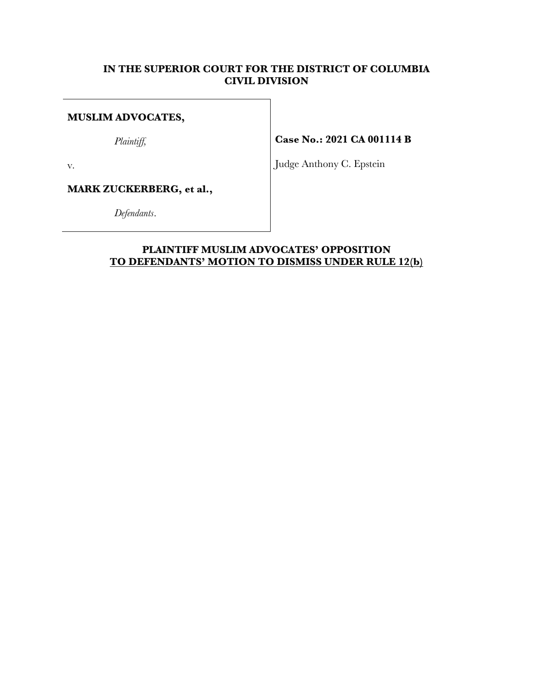# **IN THE SUPERIOR COURT FOR THE DISTRICT OF COLUMBIA CIVIL DIVISION**

# **MUSLIM ADVOCATES,**

*Plaintiff,*

**Case No.: 2021 CA 001114 B**

v.

**MARK ZUCKERBERG, et al.,**

*Defendants*.

Judge Anthony C. Epstein

# **PLAINTIFF MUSLIM ADVOCATES' OPPOSITION TO DEFENDANTS' MOTION TO DISMISS UNDER RULE 12(b)**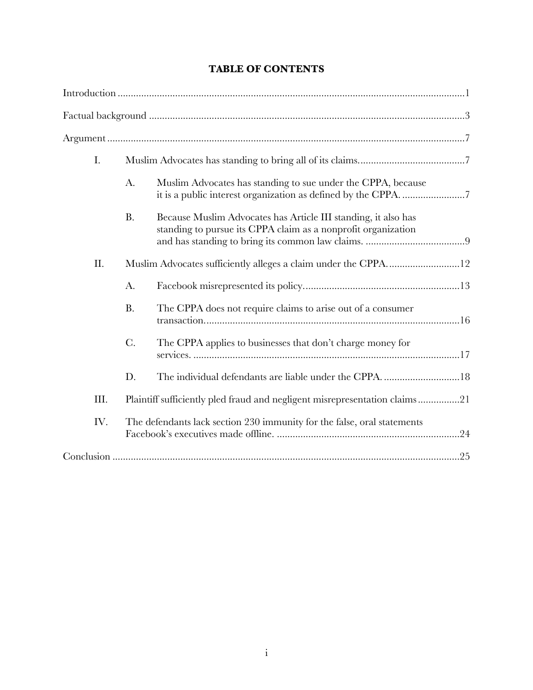|  | <b>TABLE OF CONTENTS</b> |
|--|--------------------------|
|--|--------------------------|

| I.   |                                                                         |                                                                                                                                 |
|------|-------------------------------------------------------------------------|---------------------------------------------------------------------------------------------------------------------------------|
|      | A.                                                                      | Muslim Advocates has standing to sue under the CPPA, because                                                                    |
|      | <b>B.</b>                                                               | Because Muslim Advocates has Article III standing, it also has<br>standing to pursue its CPPA claim as a nonprofit organization |
| Π.   |                                                                         | Muslim Advocates sufficiently alleges a claim under the CPPA12                                                                  |
|      | A.                                                                      |                                                                                                                                 |
|      | <b>B.</b>                                                               | The CPPA does not require claims to arise out of a consumer                                                                     |
|      | $C$ .                                                                   | The CPPA applies to businesses that don't charge money for                                                                      |
|      | D.                                                                      | The individual defendants are liable under the CPPA18                                                                           |
| III. |                                                                         | Plaintiff sufficiently pled fraud and negligent misrepresentation claims21                                                      |
| IV.  | The defendants lack section 230 immunity for the false, oral statements |                                                                                                                                 |
|      |                                                                         |                                                                                                                                 |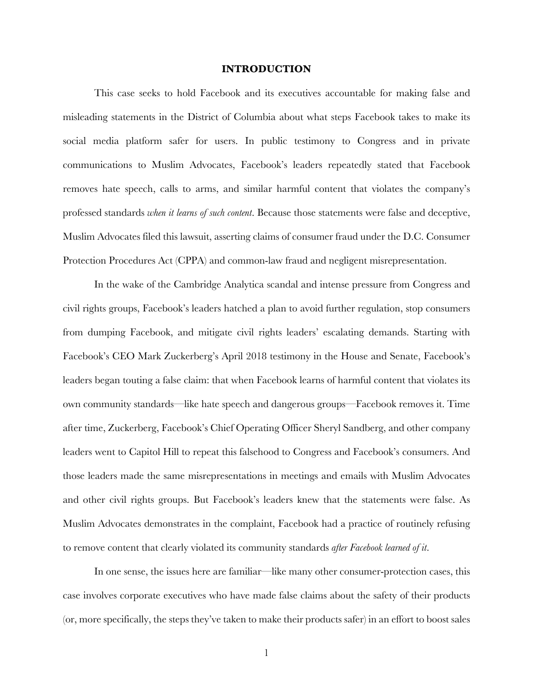## **INTRODUCTION**

This case seeks to hold Facebook and its executives accountable for making false and misleading statements in the District of Columbia about what steps Facebook takes to make its social media platform safer for users. In public testimony to Congress and in private communications to Muslim Advocates, Facebook's leaders repeatedly stated that Facebook removes hate speech, calls to arms, and similar harmful content that violates the company's professed standards *when it learns of such content*. Because those statements were false and deceptive, Muslim Advocates filed this lawsuit, asserting claims of consumer fraud under the D.C. Consumer Protection Procedures Act (CPPA) and common-law fraud and negligent misrepresentation.

In the wake of the Cambridge Analytica scandal and intense pressure from Congress and civil rights groups, Facebook's leaders hatched a plan to avoid further regulation, stop consumers from dumping Facebook, and mitigate civil rights leaders' escalating demands. Starting with Facebook's CEO Mark Zuckerberg's April 2018 testimony in the House and Senate, Facebook's leaders began touting a false claim: that when Facebook learns of harmful content that violates its own community standards—like hate speech and dangerous groups—Facebook removes it. Time after time, Zuckerberg, Facebook's Chief Operating Officer Sheryl Sandberg, and other company leaders went to Capitol Hill to repeat this falsehood to Congress and Facebook's consumers. And those leaders made the same misrepresentations in meetings and emails with Muslim Advocates and other civil rights groups. But Facebook's leaders knew that the statements were false. As Muslim Advocates demonstrates in the complaint, Facebook had a practice of routinely refusing to remove content that clearly violated its community standards *after Facebook learned of it*.

In one sense, the issues here are familiar—like many other consumer-protection cases, this case involves corporate executives who have made false claims about the safety of their products (or, more specifically, the steps they've taken to make their products safer) in an effort to boost sales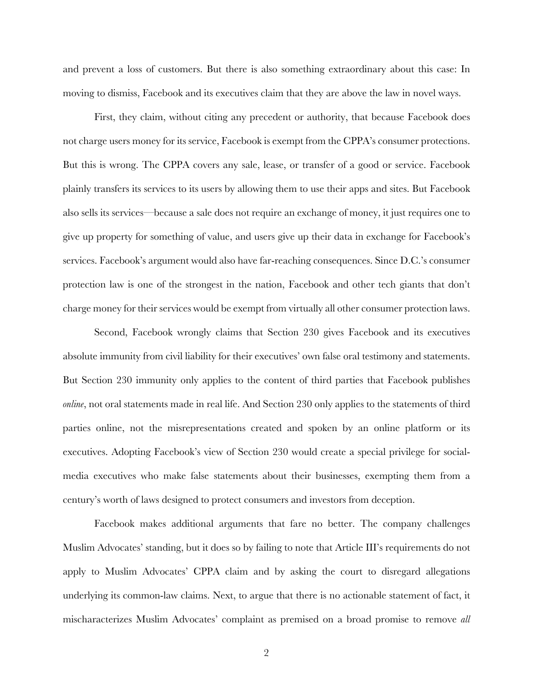and prevent a loss of customers. But there is also something extraordinary about this case: In moving to dismiss, Facebook and its executives claim that they are above the law in novel ways.

First, they claim, without citing any precedent or authority, that because Facebook does not charge users money for its service, Facebook is exempt from the CPPA's consumer protections. But this is wrong. The CPPA covers any sale, lease, or transfer of a good or service. Facebook plainly transfers its services to its users by allowing them to use their apps and sites. But Facebook also sells its services—because a sale does not require an exchange of money, it just requires one to give up property for something of value, and users give up their data in exchange for Facebook's services. Facebook's argument would also have far-reaching consequences. Since D.C.'s consumer protection law is one of the strongest in the nation, Facebook and other tech giants that don't charge money for their services would be exempt from virtually all other consumer protection laws.

Second, Facebook wrongly claims that Section 230 gives Facebook and its executives absolute immunity from civil liability for their executives' own false oral testimony and statements. But Section 230 immunity only applies to the content of third parties that Facebook publishes *online*, not oral statements made in real life. And Section 230 only applies to the statements of third parties online, not the misrepresentations created and spoken by an online platform or its executives. Adopting Facebook's view of Section 230 would create a special privilege for socialmedia executives who make false statements about their businesses, exempting them from a century's worth of laws designed to protect consumers and investors from deception.

Facebook makes additional arguments that fare no better. The company challenges Muslim Advocates' standing, but it does so by failing to note that Article III's requirements do not apply to Muslim Advocates' CPPA claim and by asking the court to disregard allegations underlying its common-law claims. Next, to argue that there is no actionable statement of fact, it mischaracterizes Muslim Advocates' complaint as premised on a broad promise to remove *all*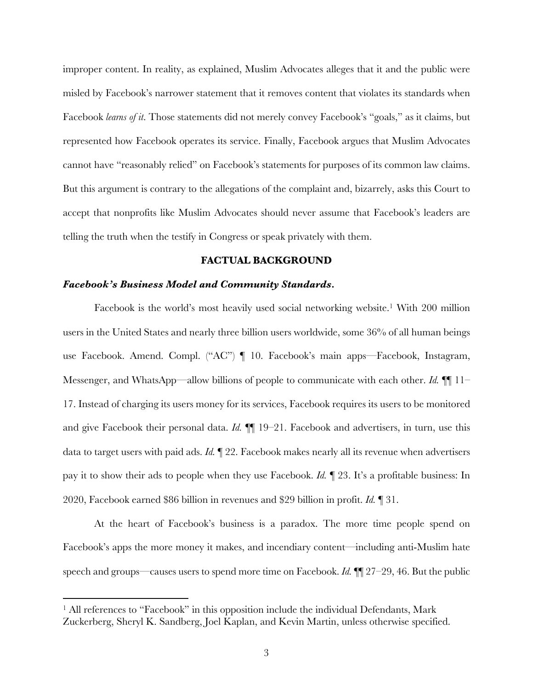improper content. In reality, as explained, Muslim Advocates alleges that it and the public were misled by Facebook's narrower statement that it removes content that violates its standards when Facebook *learns of it*. Those statements did not merely convey Facebook's "goals," as it claims, but represented how Facebook operates its service. Finally, Facebook argues that Muslim Advocates cannot have "reasonably relied" on Facebook's statements for purposes of its common law claims. But this argument is contrary to the allegations of the complaint and, bizarrely, asks this Court to accept that nonprofits like Muslim Advocates should never assume that Facebook's leaders are telling the truth when the testify in Congress or speak privately with them.

### **FACTUAL BACKGROUND**

### *Facebook's Business Model and Community Standards.*

Facebook is the world's most heavily used social networking website.<sup>1</sup> With 200 million users in the United States and nearly three billion users worldwide, some 36% of all human beings use Facebook. Amend. Compl. ("AC") ¶ 10. Facebook's main apps—Facebook, Instagram, Messenger, and WhatsApp—allow billions of people to communicate with each other. *Id.* ¶¶ 11– 17. Instead of charging its users money for its services, Facebook requires its users to be monitored and give Facebook their personal data. *Id.*  $\P$  19–21. Facebook and advertisers, in turn, use this data to target users with paid ads. *Id.* ¶ 22. Facebook makes nearly all its revenue when advertisers pay it to show their ads to people when they use Facebook. *Id.* ¶ 23. It's a profitable business: In 2020, Facebook earned \$86 billion in revenues and \$29 billion in profit. *Id.* ¶ 31.

At the heart of Facebook's business is a paradox. The more time people spend on Facebook's apps the more money it makes, and incendiary content—including anti-Muslim hate speech and groups—causes users to spend more time on Facebook. *Id.* ¶¶ 27–29, 46. But the public

<sup>&</sup>lt;sup>1</sup> All references to "Facebook" in this opposition include the individual Defendants, Mark Zuckerberg, Sheryl K. Sandberg, Joel Kaplan, and Kevin Martin, unless otherwise specified.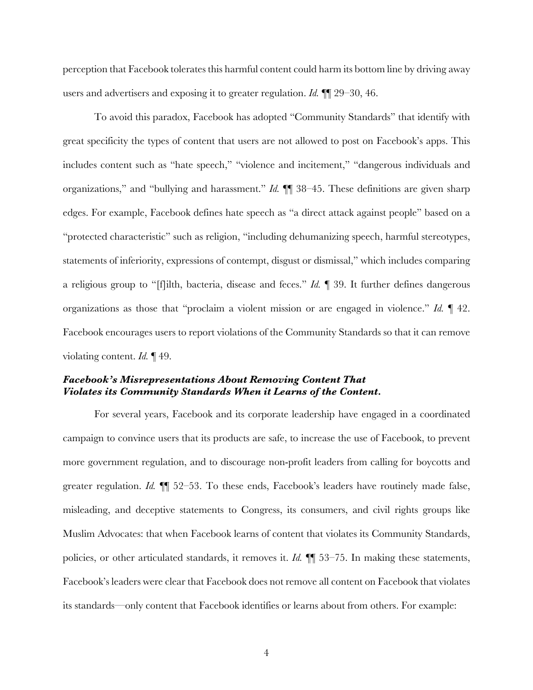perception that Facebook tolerates this harmful content could harm its bottom line by driving away users and advertisers and exposing it to greater regulation. *Id.* ¶¶ 29–30, 46.

To avoid this paradox, Facebook has adopted "Community Standards" that identify with great specificity the types of content that users are not allowed to post on Facebook's apps. This includes content such as "hate speech," "violence and incitement," "dangerous individuals and organizations," and "bullying and harassment." *Id.* ¶¶ 38–45. These definitions are given sharp edges. For example, Facebook defines hate speech as "a direct attack against people" based on a "protected characteristic" such as religion, "including dehumanizing speech, harmful stereotypes, statements of inferiority, expressions of contempt, disgust or dismissal," which includes comparing a religious group to "[f]ilth, bacteria, disease and feces." *Id.* ¶ 39. It further defines dangerous organizations as those that "proclaim a violent mission or are engaged in violence." *Id.* ¶ 42. Facebook encourages users to report violations of the Community Standards so that it can remove violating content. *Id.* ¶ 49.

# *Facebook's Misrepresentations About Removing Content That Violates its Community Standards When it Learns of the Content.*

For several years, Facebook and its corporate leadership have engaged in a coordinated campaign to convince users that its products are safe, to increase the use of Facebook, to prevent more government regulation, and to discourage non-profit leaders from calling for boycotts and greater regulation. *Id.* ¶¶ 52–53. To these ends, Facebook's leaders have routinely made false, misleading, and deceptive statements to Congress, its consumers, and civil rights groups like Muslim Advocates: that when Facebook learns of content that violates its Community Standards, policies, or other articulated standards, it removes it. *Id.* **[1**] 53–75. In making these statements, Facebook's leaders were clear that Facebook does not remove all content on Facebook that violates its standards—only content that Facebook identifies or learns about from others. For example: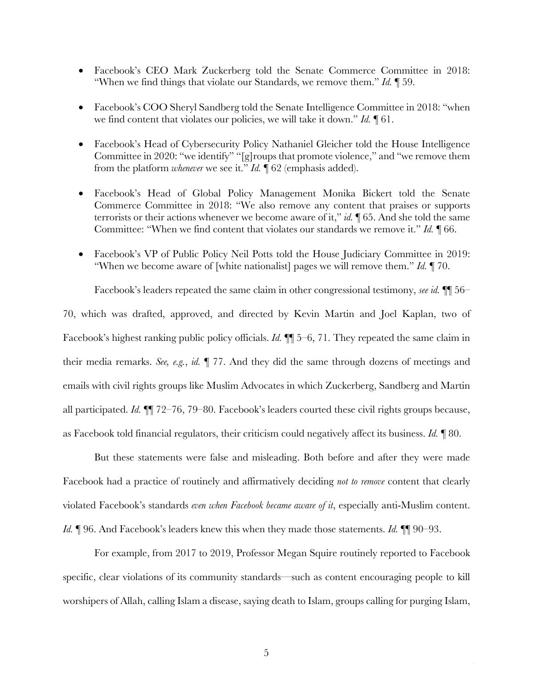- Facebook's CEO Mark Zuckerberg told the Senate Commerce Committee in 2018: "When we find things that violate our Standards, we remove them." *Id.* ¶ 59.
- Facebook's COO Sheryl Sandberg told the Senate Intelligence Committee in 2018: "when we find content that violates our policies, we will take it down." *Id.* ¶ 61.
- Facebook's Head of Cybersecurity Policy Nathaniel Gleicher told the House Intelligence Committee in 2020: "we identify" "[g]roups that promote violence," and "we remove them from the platform *whenever* we see it." *Id.* ¶ 62 (emphasis added).
- Facebook's Head of Global Policy Management Monika Bickert told the Senate Commerce Committee in 2018: "We also remove any content that praises or supports terrorists or their actions whenever we become aware of it," *id.* ¶ 65. And she told the same Committee: "When we find content that violates our standards we remove it." *Id.* ¶ 66.
- Facebook's VP of Public Policy Neil Potts told the House Judiciary Committee in 2019: "When we become aware of [white nationalist] pages we will remove them." *Id.* ¶ 70.

Facebook's leaders repeated the same claim in other congressional testimony, *see id.* ¶¶ 56– 70, which was drafted, approved, and directed by Kevin Martin and Joel Kaplan, two of Facebook's highest ranking public policy officials. *Id.*  $\mathbb{I}$  5–6, 71. They repeated the same claim in their media remarks. *See, e.g.*, *id.* ¶ 77. And they did the same through dozens of meetings and

emails with civil rights groups like Muslim Advocates in which Zuckerberg, Sandberg and Martin all participated. *Id.* ¶¶ 72–76, 79–80. Facebook's leaders courted these civil rights groups because, as Facebook told financial regulators, their criticism could negatively affect its business. *Id.* ¶ 80.

But these statements were false and misleading. Both before and after they were made Facebook had a practice of routinely and affirmatively deciding *not to remove* content that clearly violated Facebook's standards *even when Facebook became aware of it*, especially anti-Muslim content. *Id.* ¶ 96. And Facebook's leaders knew this when they made those statements. *Id.* ¶¶ 90–93.

For example, from 2017 to 2019, Professor Megan Squire routinely reported to Facebook specific, clear violations of its community standards—such as content encouraging people to kill worshipers of Allah, calling Islam a disease, saying death to Islam, groups calling for purging Islam,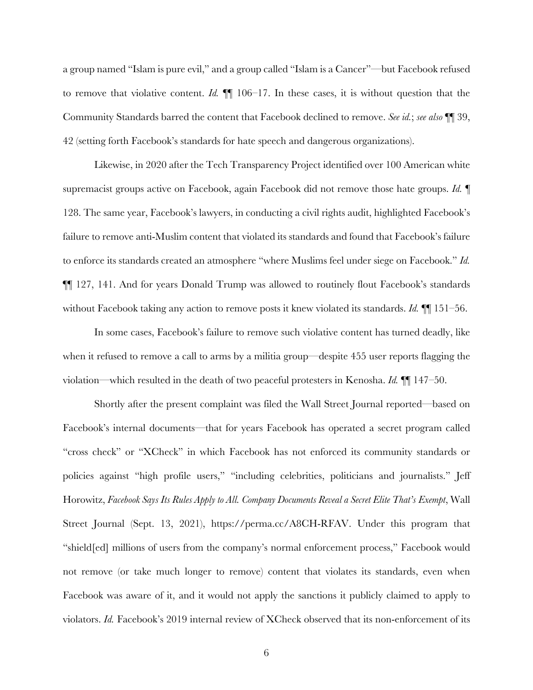a group named "Islam is pure evil," and a group called "Islam is a Cancer"—but Facebook refused to remove that violative content. *Id.* ¶¶ 106–17. In these cases, it is without question that the Community Standards barred the content that Facebook declined to remove. *See id.*; *see also* ¶¶ 39, 42 (setting forth Facebook's standards for hate speech and dangerous organizations).

Likewise, in 2020 after the Tech Transparency Project identified over 100 American white supremacist groups active on Facebook, again Facebook did not remove those hate groups. *Id.* ¶ 128. The same year, Facebook's lawyers, in conducting a civil rights audit, highlighted Facebook's failure to remove anti-Muslim content that violated its standards and found that Facebook's failure to enforce its standards created an atmosphere "where Muslims feel under siege on Facebook." *Id.*  ¶¶ 127, 141. And for years Donald Trump was allowed to routinely flout Facebook's standards without Facebook taking any action to remove posts it knew violated its standards. *Id.* ¶¶ 151–56.

In some cases, Facebook's failure to remove such violative content has turned deadly, like when it refused to remove a call to arms by a militia group—despite 455 user reports flagging the violation—which resulted in the death of two peaceful protesters in Kenosha. *Id.* ¶¶ 147–50.

Shortly after the present complaint was filed the Wall Street Journal reported—based on Facebook's internal documents—that for years Facebook has operated a secret program called "cross check" or "XCheck" in which Facebook has not enforced its community standards or policies against "high profile users," "including celebrities, politicians and journalists." Jeff Horowitz, *Facebook Says Its Rules Apply to All. Company Documents Reveal a Secret Elite That's Exempt*, Wall Street Journal (Sept. 13, 2021), https://perma.cc/A8CH-RFAV. Under this program that "shield[ed] millions of users from the company's normal enforcement process," Facebook would not remove (or take much longer to remove) content that violates its standards, even when Facebook was aware of it, and it would not apply the sanctions it publicly claimed to apply to violators. *Id.* Facebook's 2019 internal review of XCheck observed that its non-enforcement of its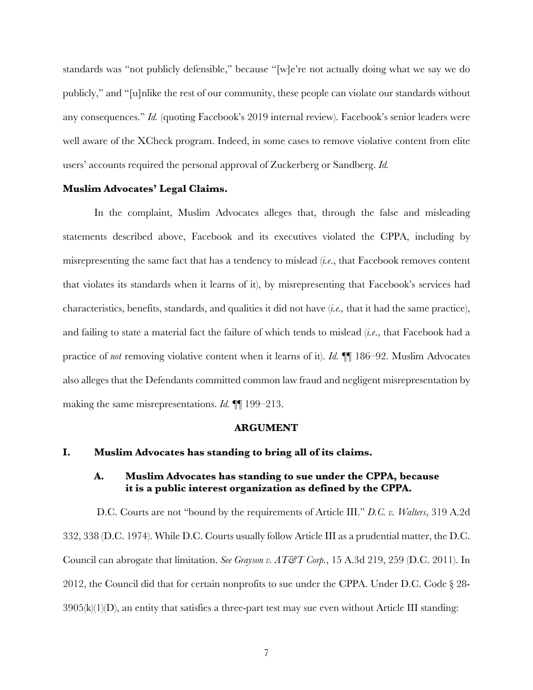standards was "not publicly defensible," because "[w]e're not actually doing what we say we do publicly," and "[u]nlike the rest of our community, these people can violate our standards without any consequences." *Id.* (quoting Facebook's 2019 internal review). Facebook's senior leaders were well aware of the XCheck program. Indeed, in some cases to remove violative content from elite users' accounts required the personal approval of Zuckerberg or Sandberg. *Id.* 

#### **Muslim Advocates' Legal Claims.**

In the complaint, Muslim Advocates alleges that, through the false and misleading statements described above, Facebook and its executives violated the CPPA, including by misrepresenting the same fact that has a tendency to mislead (*i.e*., that Facebook removes content that violates its standards when it learns of it), by misrepresenting that Facebook's services had characteristics, benefits, standards, and qualities it did not have (*i.e.,* that it had the same practice), and failing to state a material fact the failure of which tends to mislead (*i.e*., that Facebook had a practice of *not* removing violative content when it learns of it). *Id.* ¶¶ 186–92. Muslim Advocates also alleges that the Defendants committed common law fraud and negligent misrepresentation by making the same misrepresentations. *Id.* ¶¶ 199–213.

#### **ARGUMENT**

#### **I. Muslim Advocates has standing to bring all of its claims.**

# **A. Muslim Advocates has standing to sue under the CPPA, because it is a public interest organization as defined by the CPPA.**

D.C. Courts are not "bound by the requirements of Article III." *D.C. v. Walters*, 319 A.2d 332, 338 (D.C. 1974). While D.C. Courts usually follow Article III as a prudential matter, the D.C. Council can abrogate that limitation. *See Grayson v. AT&T Corp.*, 15 A.3d 219, 259 (D.C. 2011). In 2012, the Council did that for certain nonprofits to sue under the CPPA. Under D.C. Code § 28-  $3905(k)(1)(D)$ , an entity that satisfies a three-part test may sue even without Article III standing: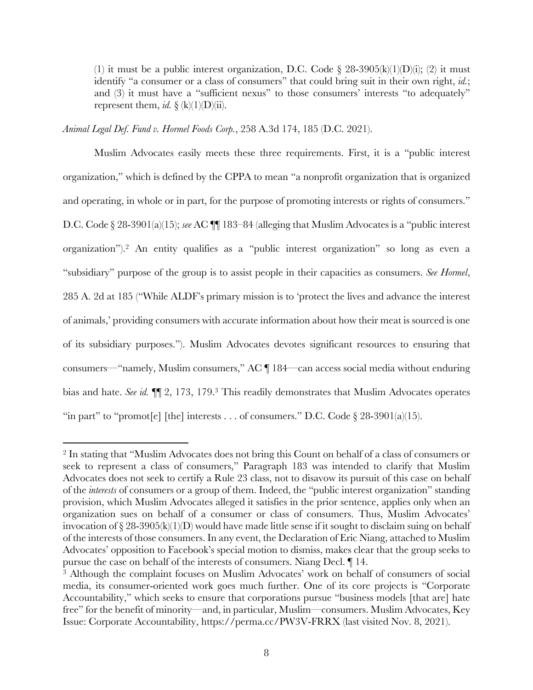(1) it must be a public interest organization, D.C. Code § 28-3905(k)(1)(D)(i); (2) it must identify "a consumer or a class of consumers" that could bring suit in their own right, *id.*; and (3) it must have a "sufficient nexus" to those consumers' interests "to adequately" represent them, *id.*  $\S$  (k)(1)(D)(ii).

#### *Animal Legal Def. Fund v. Hormel Foods Corp.*, 258 A.3d 174, 185 (D.C. 2021).

Muslim Advocates easily meets these three requirements. First, it is a "public interest organization," which is defined by the CPPA to mean "a nonprofit organization that is organized and operating, in whole or in part, for the purpose of promoting interests or rights of consumers." D.C. Code § 28-3901(a)(15); *see* AC **[[**] 183–84 (alleging that Muslim Advocates is a "public interest" organization").2 An entity qualifies as a "public interest organization" so long as even a "subsidiary" purpose of the group is to assist people in their capacities as consumers. *See Hormel*, 285 A. 2d at 185 ("While ALDF's primary mission is to 'protect the lives and advance the interest of animals,' providing consumers with accurate information about how their meat is sourced is one of its subsidiary purposes."). Muslim Advocates devotes significant resources to ensuring that consumers—"namely, Muslim consumers," AC ¶ 184—can access social media without enduring bias and hate. *See id.* ¶¶ 2, 173, 179.3 This readily demonstrates that Muslim Advocates operates "in part" to "promot[e] [the] interests . . . of consumers." D.C. Code  $\S 28-3901(a)(15)$ .

<sup>2</sup> In stating that "Muslim Advocates does not bring this Count on behalf of a class of consumers or seek to represent a class of consumers," Paragraph 183 was intended to clarify that Muslim Advocates does not seek to certify a Rule 23 class, not to disavow its pursuit of this case on behalf of the *interests* of consumers or a group of them. Indeed, the "public interest organization" standing provision, which Muslim Advocates alleged it satisfies in the prior sentence, applies only when an organization sues on behalf of a consumer or class of consumers. Thus, Muslim Advocates' invocation of  $\S 28-3905(k)(1)(D)$  would have made little sense if it sought to disclaim suing on behalf of the interests of those consumers. In any event, the Declaration of Eric Niang, attached to Muslim Advocates' opposition to Facebook's special motion to dismiss, makes clear that the group seeks to pursue the case on behalf of the interests of consumers. Niang Decl.  $\parallel$  14.<br><sup>3</sup> Although the complaint focuses on Muslim Advocates' work on behalf of consumers of social

media, its consumer-oriented work goes much further. One of its core projects is "Corporate Accountability," which seeks to ensure that corporations pursue "business models [that are] hate free" for the benefit of minority—and, in particular, Muslim—consumers. Muslim Advocates, Key Issue: Corporate Accountability, https://perma.cc/PW3V-FRRX (last visited Nov. 8, 2021).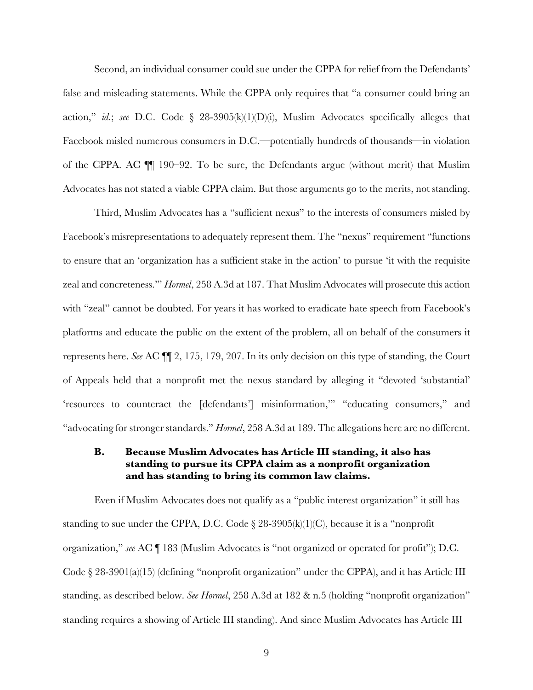Second, an individual consumer could sue under the CPPA for relief from the Defendants' false and misleading statements. While the CPPA only requires that "a consumer could bring an action," *id.*; *see* D.C. Code § 28-3905(k)(1)(D)(i), Muslim Advocates specifically alleges that Facebook misled numerous consumers in D.C.—potentially hundreds of thousands—in violation of the CPPA. AC ¶¶ 190–92. To be sure, the Defendants argue (without merit) that Muslim Advocates has not stated a viable CPPA claim. But those arguments go to the merits, not standing.

Third, Muslim Advocates has a "sufficient nexus" to the interests of consumers misled by Facebook's misrepresentations to adequately represent them. The "nexus" requirement "functions to ensure that an 'organization has a sufficient stake in the action' to pursue 'it with the requisite zeal and concreteness.'" *Hormel*, 258 A.3d at 187. That Muslim Advocates will prosecute this action with "zeal" cannot be doubted. For years it has worked to eradicate hate speech from Facebook's platforms and educate the public on the extent of the problem, all on behalf of the consumers it represents here. *See* AC ¶¶ 2, 175, 179, 207. In its only decision on this type of standing, the Court of Appeals held that a nonprofit met the nexus standard by alleging it "devoted 'substantial' 'resources to counteract the [defendants'] misinformation,'" "educating consumers," and "advocating for stronger standards." *Hormel*, 258 A.3d at 189. The allegations here are no different.

# **B. Because Muslim Advocates has Article III standing, it also has standing to pursue its CPPA claim as a nonprofit organization and has standing to bring its common law claims.**

Even if Muslim Advocates does not qualify as a "public interest organization" it still has standing to sue under the CPPA, D.C. Code  $\S 28-3905(k)(1)(C)$ , because it is a "nonprofit organization," *see* AC ¶ 183 (Muslim Advocates is "not organized or operated for profit"); D.C. Code § 28-3901(a)(15) (defining "nonprofit organization" under the CPPA), and it has Article III standing, as described below. *See Hormel*, 258 A.3d at 182 & n.5 (holding "nonprofit organization" standing requires a showing of Article III standing). And since Muslim Advocates has Article III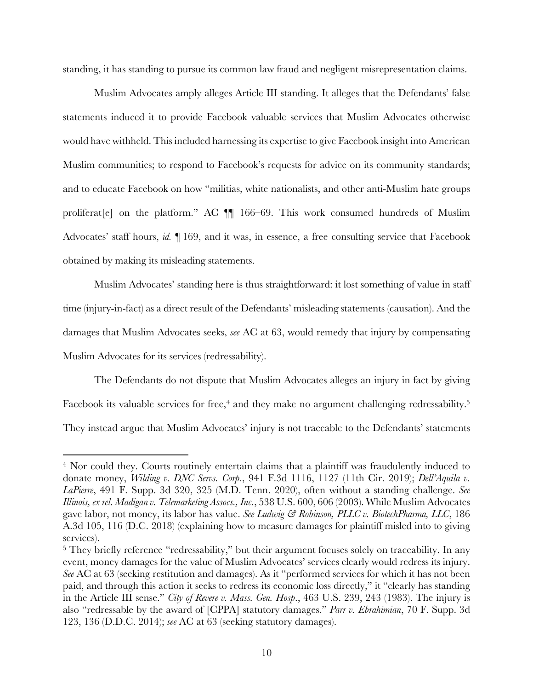standing, it has standing to pursue its common law fraud and negligent misrepresentation claims.

Muslim Advocates amply alleges Article III standing. It alleges that the Defendants' false statements induced it to provide Facebook valuable services that Muslim Advocates otherwise would have withheld. This included harnessing its expertise to give Facebook insight into American Muslim communities; to respond to Facebook's requests for advice on its community standards; and to educate Facebook on how "militias, white nationalists, and other anti-Muslim hate groups proliferat[e] on the platform." AC ¶¶ 166–69. This work consumed hundreds of Muslim Advocates' staff hours, *id.* ¶ 169, and it was, in essence, a free consulting service that Facebook obtained by making its misleading statements.

Muslim Advocates' standing here is thus straightforward: it lost something of value in staff time (injury-in-fact) as a direct result of the Defendants' misleading statements (causation). And the damages that Muslim Advocates seeks, *see* AC at 63, would remedy that injury by compensating Muslim Advocates for its services (redressability).

The Defendants do not dispute that Muslim Advocates alleges an injury in fact by giving Facebook its valuable services for free,<sup>4</sup> and they make no argument challenging redressability.<sup>5</sup> They instead argue that Muslim Advocates' injury is not traceable to the Defendants' statements

<sup>&</sup>lt;sup>4</sup> Nor could they. Courts routinely entertain claims that a plaintiff was fraudulently induced to donate money, *Wilding v. DNC Servs. Corp.*, 941 F.3d 1116, 1127 (11th Cir. 2019); *Dell'Aquila v. LaPierre*, 491 F. Supp. 3d 320, 325 (M.D. Tenn. 2020), often without a standing challenge. *See Illinois, ex rel. Madigan v. Telemarketing Assocs., Inc.*, 538 U.S. 600, 606 (2003). While Muslim Advocates gave labor, not money, its labor has value. *See Ludwig & Robinson, PLLC v. BiotechPharma, LLC*, 186 A.3d 105, 116 (D.C. 2018) (explaining how to measure damages for plaintiff misled into to giving services).

<sup>5</sup> They briefly reference "redressability," but their argument focuses solely on traceability. In any event, money damages for the value of Muslim Advocates' services clearly would redress its injury. *See* AC at 63 (seeking restitution and damages). As it "performed services for which it has not been paid, and through this action it seeks to redress its economic loss directly," it "clearly has standing in the Article III sense." *City of Revere v. Mass. Gen. Hosp*., 463 U.S. 239, 243 (1983). The injury is also "redressable by the award of [CPPA] statutory damages." *Parr v. Ebrahimian*, 70 F. Supp. 3d 123, 136 (D.D.C. 2014); *see* AC at 63 (seeking statutory damages).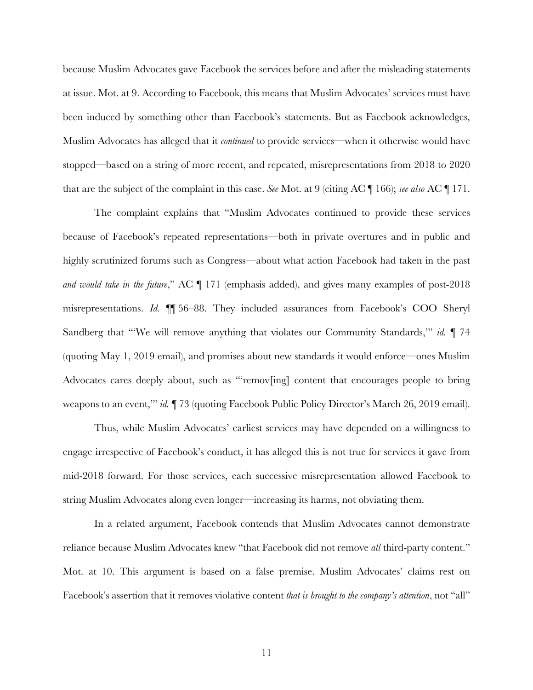because Muslim Advocates gave Facebook the services before and after the misleading statements at issue. Mot. at 9. According to Facebook, this means that Muslim Advocates' services must have been induced by something other than Facebook's statements. But as Facebook acknowledges, Muslim Advocates has alleged that it *continued* to provide services—when it otherwise would have stopped—based on a string of more recent, and repeated, misrepresentations from 2018 to 2020 that are the subject of the complaint in this case. *See* Mot. at 9 (citing AC ¶ 166); *see also* AC ¶ 171.

The complaint explains that "Muslim Advocates continued to provide these services because of Facebook's repeated representations—both in private overtures and in public and highly scrutinized forums such as Congress—about what action Facebook had taken in the past *and would take in the future*," AC ¶ 171 (emphasis added), and gives many examples of post-2018 misrepresentations. *Id.* ¶¶ 56–88. They included assurances from Facebook's COO Sheryl Sandberg that "'We will remove anything that violates our Community Standards," *id.*  $\P$  74 (quoting May 1, 2019 email), and promises about new standards it would enforce—ones Muslim Advocates cares deeply about, such as "'remov[ing] content that encourages people to bring weapons to an event,'" *id.* ¶ 73 (quoting Facebook Public Policy Director's March 26, 2019 email).

Thus, while Muslim Advocates' earliest services may have depended on a willingness to engage irrespective of Facebook's conduct, it has alleged this is not true for services it gave from mid-2018 forward. For those services, each successive misrepresentation allowed Facebook to string Muslim Advocates along even longer—increasing its harms, not obviating them.

In a related argument, Facebook contends that Muslim Advocates cannot demonstrate reliance because Muslim Advocates knew "that Facebook did not remove *all* third-party content." Mot. at 10. This argument is based on a false premise. Muslim Advocates' claims rest on Facebook's assertion that it removes violative content *that is brought to the company's attention*, not "all"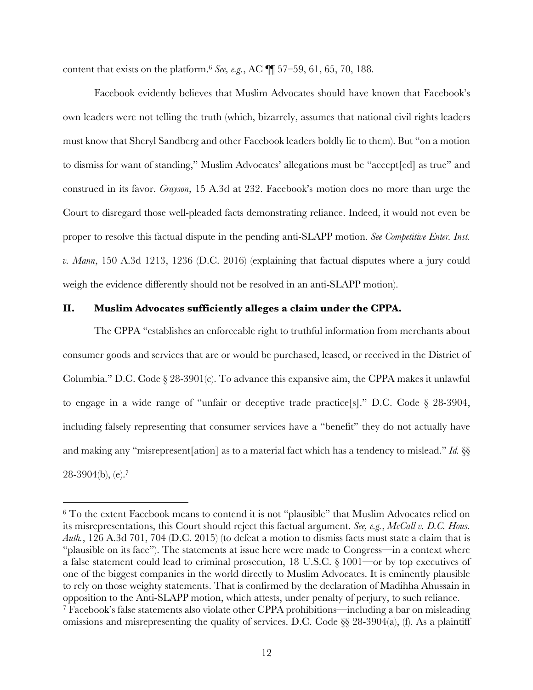content that exists on the platform.6 *See, e.g.*, AC ¶¶ 57–59, 61, 65, 70, 188.

Facebook evidently believes that Muslim Advocates should have known that Facebook's own leaders were not telling the truth (which, bizarrely, assumes that national civil rights leaders must know that Sheryl Sandberg and other Facebook leaders boldly lie to them). But "on a motion to dismiss for want of standing," Muslim Advocates' allegations must be "accept[ed] as true" and construed in its favor. *Grayson*, 15 A.3d at 232. Facebook's motion does no more than urge the Court to disregard those well-pleaded facts demonstrating reliance. Indeed, it would not even be proper to resolve this factual dispute in the pending anti-SLAPP motion. *See Competitive Enter. Inst. v. Mann*, 150 A.3d 1213, 1236 (D.C. 2016) (explaining that factual disputes where a jury could weigh the evidence differently should not be resolved in an anti-SLAPP motion).

### **II. Muslim Advocates sufficiently alleges a claim under the CPPA.**

The CPPA "establishes an enforceable right to truthful information from merchants about consumer goods and services that are or would be purchased, leased, or received in the District of Columbia." D.C. Code § 28-3901(c). To advance this expansive aim, the CPPA makes it unlawful to engage in a wide range of "unfair or deceptive trade practice[s]." D.C. Code § 28-3904, including falsely representing that consumer services have a "benefit" they do not actually have and making any "misrepresent[ation] as to a material fact which has a tendency to mislead." *Id.* §§  $28-3904(b)$ , (e).<sup>7</sup>

<sup>&</sup>lt;sup>6</sup> To the extent Facebook means to contend it is not "plausible" that Muslim Advocates relied on its misrepresentations, this Court should reject this factual argument. *See, e.g.*, *McCall v. D.C. Hous. Auth.*, 126 A.3d 701, 704 (D.C. 2015) (to defeat a motion to dismiss facts must state a claim that is "plausible on its face"). The statements at issue here were made to Congress—in a context where a false statement could lead to criminal prosecution, 18 U.S.C. § 1001—or by top executives of one of the biggest companies in the world directly to Muslim Advocates. It is eminently plausible to rely on those weighty statements. That is confirmed by the declaration of Madihha Ahussain in opposition to the Anti-SLAPP motion, which attests, under penalty of perjury, to such reliance. <sup>7</sup> Facebook's false statements also violate other CPPA prohibitions—including a bar on misleading omissions and misrepresenting the quality of services. D.C. Code §§ 28-3904(a), (f). As a plaintiff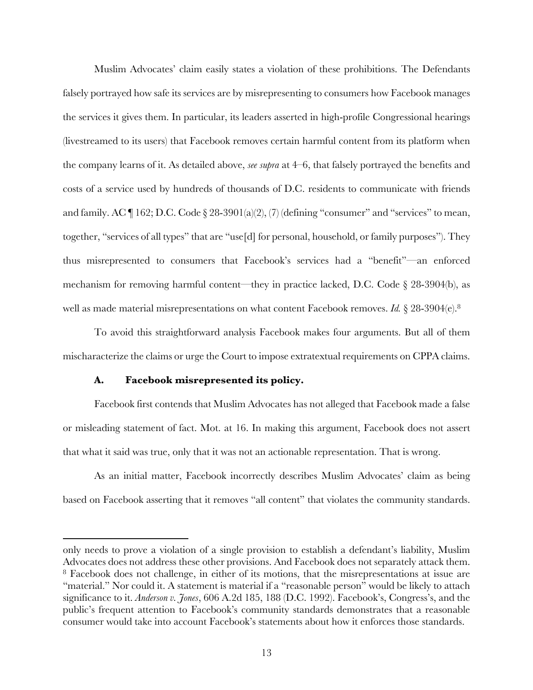Muslim Advocates' claim easily states a violation of these prohibitions. The Defendants falsely portrayed how safe its services are by misrepresenting to consumers how Facebook manages the services it gives them. In particular, its leaders asserted in high-profile Congressional hearings (livestreamed to its users) that Facebook removes certain harmful content from its platform when the company learns of it. As detailed above, *see supra* at 4–6, that falsely portrayed the benefits and costs of a service used by hundreds of thousands of D.C. residents to communicate with friends and family. AC  $\P$  162; D.C. Code  $\S$  28-3901(a)(2), (7) (defining "consumer" and "services" to mean, together, "services of all types" that are "use[d] for personal, household, or family purposes"). They thus misrepresented to consumers that Facebook's services had a "benefit"—an enforced mechanism for removing harmful content—they in practice lacked, D.C. Code § 28-3904(b), as well as made material misrepresentations on what content Facebook removes. *Id.* § 28-3904(e).8

To avoid this straightforward analysis Facebook makes four arguments. But all of them mischaracterize the claims or urge the Court to impose extratextual requirements on CPPA claims.

## **A. Facebook misrepresented its policy.**

Facebook first contends that Muslim Advocates has not alleged that Facebook made a false or misleading statement of fact. Mot. at 16. In making this argument, Facebook does not assert that what it said was true, only that it was not an actionable representation. That is wrong.

As an initial matter, Facebook incorrectly describes Muslim Advocates' claim as being based on Facebook asserting that it removes "all content" that violates the community standards.

only needs to prove a violation of a single provision to establish a defendant's liability, Muslim Advocates does not address these other provisions. And Facebook does not separately attack them. <sup>8</sup> Facebook does not challenge, in either of its motions, that the misrepresentations at issue are "material." Nor could it. A statement is material if a "reasonable person" would be likely to attach significance to it. *Anderson v. Jones*, 606 A.2d 185, 188 (D.C. 1992). Facebook's, Congress's, and the public's frequent attention to Facebook's community standards demonstrates that a reasonable consumer would take into account Facebook's statements about how it enforces those standards.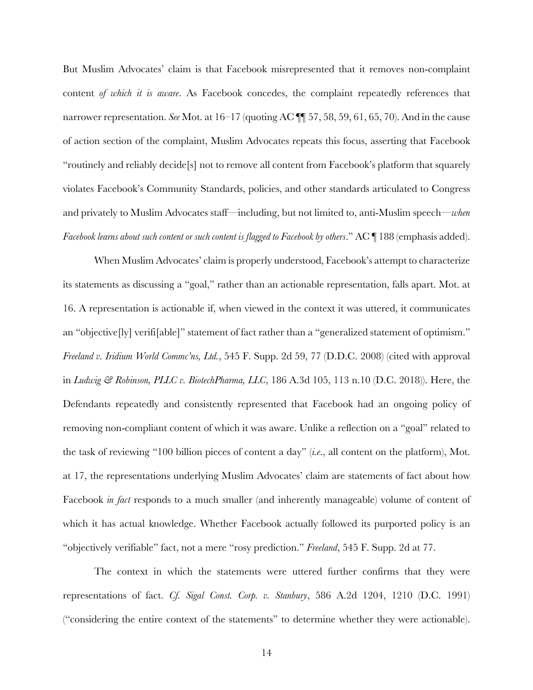But Muslim Advocates' claim is that Facebook misrepresented that it removes non-complaint content *of which it is aware*. As Facebook concedes, the complaint repeatedly references that narrower representation. *See* Mot. at 16–17 (quoting AC ¶¶ 57, 58, 59, 61, 65, 70). And in the cause of action section of the complaint, Muslim Advocates repeats this focus, asserting that Facebook "routinely and reliably decide[s] not to remove all content from Facebook's platform that squarely violates Facebook's Community Standards, policies, and other standards articulated to Congress and privately to Muslim Advocates staff—including, but not limited to, anti-Muslim speech—*when Facebook learns about such content or such content is flagged to Facebook by others.*" AC ¶ 188 (emphasis added).

When Muslim Advocates' claim is properly understood, Facebook's attempt to characterize its statements as discussing a "goal," rather than an actionable representation, falls apart. Mot. at 16. A representation is actionable if, when viewed in the context it was uttered, it communicates an "objective[ly] verifi[able]" statement of fact rather than a "generalized statement of optimism." *Freeland v. Iridium World Commc'ns, Ltd.*, 545 F. Supp. 2d 59, 77 (D.D.C. 2008) (cited with approval in *Ludwig & Robinson, PLLC v. BiotechPharma, LLC*, 186 A.3d 105, 113 n.10 (D.C. 2018)). Here, the Defendants repeatedly and consistently represented that Facebook had an ongoing policy of removing non-compliant content of which it was aware. Unlike a reflection on a "goal" related to the task of reviewing "100 billion pieces of content a day" (*i.e*., all content on the platform), Mot. at 17, the representations underlying Muslim Advocates' claim are statements of fact about how Facebook *in fact* responds to a much smaller (and inherently manageable) volume of content of which it has actual knowledge. Whether Facebook actually followed its purported policy is an "objectively verifiable" fact, not a mere "rosy prediction." *Freeland*, 545 F. Supp. 2d at 77.

The context in which the statements were uttered further confirms that they were representations of fact. *Cf. Sigal Const. Corp. v. Stanbury*, 586 A.2d 1204, 1210 (D.C. 1991) ("considering the entire context of the statements" to determine whether they were actionable).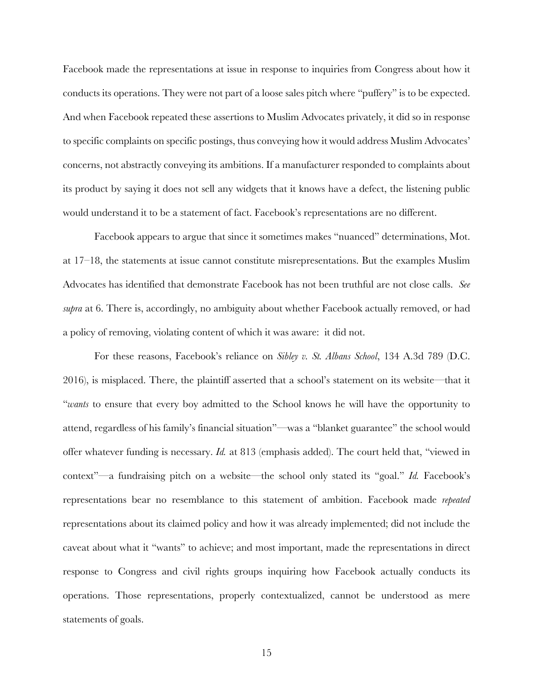Facebook made the representations at issue in response to inquiries from Congress about how it conducts its operations. They were not part of a loose sales pitch where "puffery" is to be expected. And when Facebook repeated these assertions to Muslim Advocates privately, it did so in response to specific complaints on specific postings, thus conveying how it would address Muslim Advocates' concerns, not abstractly conveying its ambitions. If a manufacturer responded to complaints about its product by saying it does not sell any widgets that it knows have a defect, the listening public would understand it to be a statement of fact. Facebook's representations are no different.

Facebook appears to argue that since it sometimes makes "nuanced" determinations, Mot. at 17–18, the statements at issue cannot constitute misrepresentations. But the examples Muslim Advocates has identified that demonstrate Facebook has not been truthful are not close calls. *See supra* at 6. There is, accordingly, no ambiguity about whether Facebook actually removed, or had a policy of removing, violating content of which it was aware: it did not.

For these reasons, Facebook's reliance on *Sibley v. St. Albans School*, 134 A.3d 789 (D.C. 2016), is misplaced. There, the plaintiff asserted that a school's statement on its website—that it "*wants* to ensure that every boy admitted to the School knows he will have the opportunity to attend, regardless of his family's financial situation"—was a "blanket guarantee" the school would offer whatever funding is necessary. *Id.* at 813 (emphasis added). The court held that, "viewed in context"—a fundraising pitch on a website—the school only stated its "goal." *Id.* Facebook's representations bear no resemblance to this statement of ambition. Facebook made *repeated* representations about its claimed policy and how it was already implemented; did not include the caveat about what it "wants" to achieve; and most important, made the representations in direct response to Congress and civil rights groups inquiring how Facebook actually conducts its operations. Those representations, properly contextualized, cannot be understood as mere statements of goals.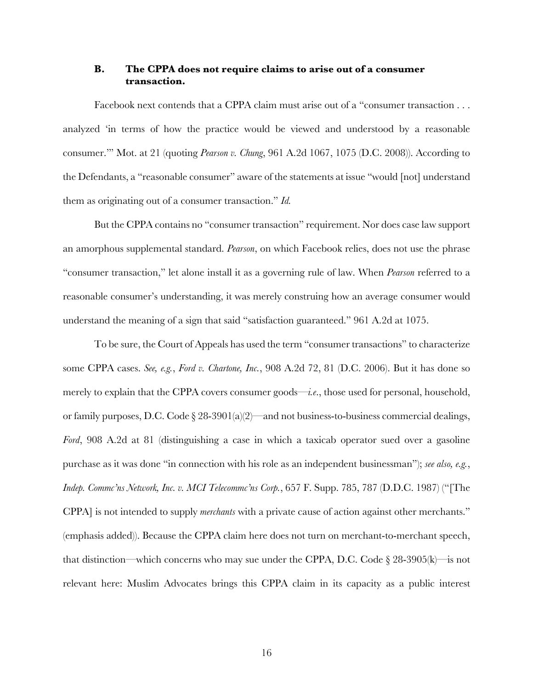## **B. The CPPA does not require claims to arise out of a consumer transaction.**

Facebook next contends that a CPPA claim must arise out of a "consumer transaction . . . analyzed 'in terms of how the practice would be viewed and understood by a reasonable consumer.'" Mot. at 21 (quoting *Pearson v. Chung*, 961 A.2d 1067, 1075 (D.C. 2008)). According to the Defendants, a "reasonable consumer" aware of the statements at issue "would [not] understand them as originating out of a consumer transaction." *Id.*

But the CPPA contains no "consumer transaction" requirement. Nor does case law support an amorphous supplemental standard. *Pearson*, on which Facebook relies, does not use the phrase "consumer transaction," let alone install it as a governing rule of law. When *Pearson* referred to a reasonable consumer's understanding, it was merely construing how an average consumer would understand the meaning of a sign that said "satisfaction guaranteed." 961 A.2d at 1075.

To be sure, the Court of Appeals has used the term "consumer transactions" to characterize some CPPA cases. *See, e.g.*, *Ford v. Chartone, Inc.*, 908 A.2d 72, 81 (D.C. 2006). But it has done so merely to explain that the CPPA covers consumer goods—*i.e*., those used for personal, household, or family purposes, D.C. Code § 28-3901(a)(2)—and not business-to-business commercial dealings, *Ford*, 908 A.2d at 81 (distinguishing a case in which a taxicab operator sued over a gasoline purchase as it was done "in connection with his role as an independent businessman"); *see also, e.g.*, *Indep. Commc'ns Network, Inc. v. MCI Telecommc'ns Corp.*, 657 F. Supp. 785, 787 (D.D.C. 1987) ("[The CPPA] is not intended to supply *merchants* with a private cause of action against other merchants." (emphasis added)). Because the CPPA claim here does not turn on merchant-to-merchant speech, that distinction—which concerns who may sue under the CPPA, D.C. Code  $\S 28{\text -}3905(k)$ —is not relevant here: Muslim Advocates brings this CPPA claim in its capacity as a public interest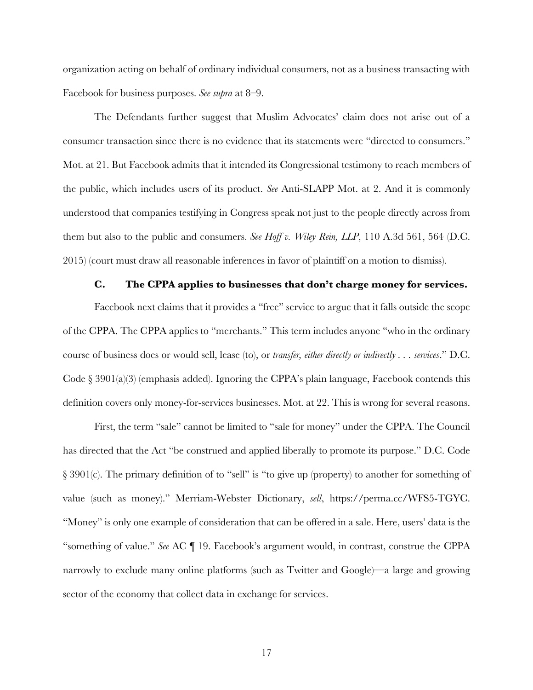organization acting on behalf of ordinary individual consumers, not as a business transacting with Facebook for business purposes. *See supra* at 8–9.

The Defendants further suggest that Muslim Advocates' claim does not arise out of a consumer transaction since there is no evidence that its statements were "directed to consumers." Mot. at 21. But Facebook admits that it intended its Congressional testimony to reach members of the public, which includes users of its product. *See* Anti-SLAPP Mot. at 2. And it is commonly understood that companies testifying in Congress speak not just to the people directly across from them but also to the public and consumers. *See Hoff v. Wiley Rein, LLP*, 110 A.3d 561, 564 (D.C. 2015) (court must draw all reasonable inferences in favor of plaintiff on a motion to dismiss).

## **C. The CPPA applies to businesses that don't charge money for services.**

Facebook next claims that it provides a "free" service to argue that it falls outside the scope of the CPPA. The CPPA applies to "merchants." This term includes anyone "who in the ordinary course of business does or would sell, lease (to), or *transfer, either directly or indirectly . . . services*." D.C. Code  $\S 3901(a)(3)$  (emphasis added). Ignoring the CPPA's plain language, Facebook contends this definition covers only money-for-services businesses. Mot. at 22. This is wrong for several reasons.

First, the term "sale" cannot be limited to "sale for money" under the CPPA. The Council has directed that the Act "be construed and applied liberally to promote its purpose." D.C. Code § 3901(c). The primary definition of to "sell" is "to give up (property) to another for something of value (such as money)." Merriam-Webster Dictionary, *sell*, https://perma.cc/WFS5-TGYC. "Money" is only one example of consideration that can be offered in a sale. Here, users' data is the "something of value." *See* AC ¶ 19. Facebook's argument would, in contrast, construe the CPPA narrowly to exclude many online platforms (such as Twitter and Google)—a large and growing sector of the economy that collect data in exchange for services.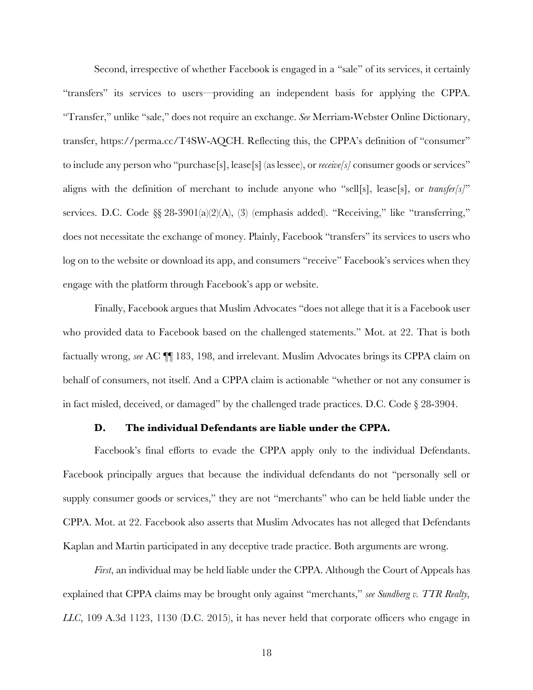Second, irrespective of whether Facebook is engaged in a "sale" of its services, it certainly "transfers" its services to users—providing an independent basis for applying the CPPA. "Transfer," unlike "sale," does not require an exchange. *See* Merriam-Webster Online Dictionary, transfer, https://perma.cc/T4SW-AQCH. Reflecting this, the CPPA's definition of "consumer" to include any person who "purchase[s], lease[s] (as lessee), or *receive[s]* consumer goods or services" aligns with the definition of merchant to include anyone who "sell[s], lease[s], or *transfer[s]*" services. D.C. Code §§ 28-3901(a)(2)(A), (3) (emphasis added). "Receiving," like "transferring," does not necessitate the exchange of money. Plainly, Facebook "transfers" its services to users who log on to the website or download its app, and consumers "receive" Facebook's services when they engage with the platform through Facebook's app or website.

Finally, Facebook argues that Muslim Advocates "does not allege that it is a Facebook user who provided data to Facebook based on the challenged statements." Mot. at 22. That is both factually wrong, *see* AC ¶¶ 183, 198, and irrelevant. Muslim Advocates brings its CPPA claim on behalf of consumers, not itself. And a CPPA claim is actionable "whether or not any consumer is in fact misled, deceived, or damaged" by the challenged trade practices. D.C. Code § 28-3904.

#### **D. The individual Defendants are liable under the CPPA.**

Facebook's final efforts to evade the CPPA apply only to the individual Defendants. Facebook principally argues that because the individual defendants do not "personally sell or supply consumer goods or services," they are not "merchants" who can be held liable under the CPPA. Mot. at 22. Facebook also asserts that Muslim Advocates has not alleged that Defendants Kaplan and Martin participated in any deceptive trade practice. Both arguments are wrong.

*First*, an individual may be held liable under the CPPA. Although the Court of Appeals has explained that CPPA claims may be brought only against "merchants," *see Sundberg v. TTR Realty, LLC*, 109 A.3d 1123, 1130 (D.C. 2015), it has never held that corporate officers who engage in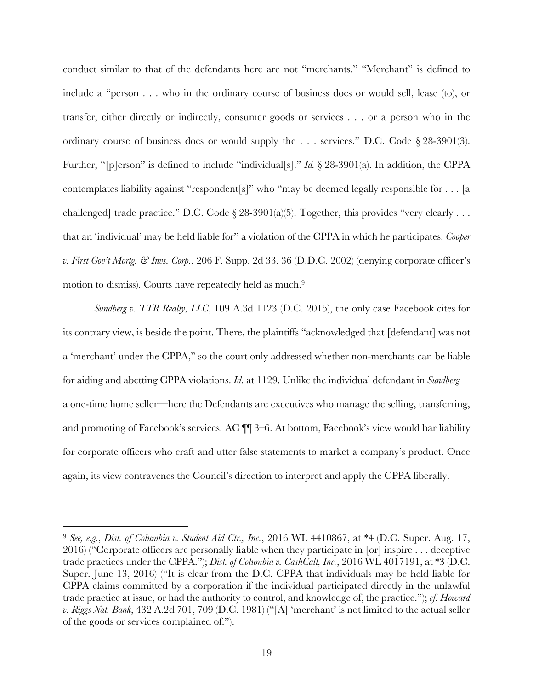conduct similar to that of the defendants here are not "merchants." "Merchant" is defined to include a "person . . . who in the ordinary course of business does or would sell, lease (to), or transfer, either directly or indirectly, consumer goods or services . . . or a person who in the ordinary course of business does or would supply the . . . services." D.C. Code § 28-3901(3). Further, "[p]erson" is defined to include "individual[s]." *Id.* § 28-3901(a). In addition, the CPPA contemplates liability against "respondent[s]" who "may be deemed legally responsible for . . . [a challenged] trade practice." D.C. Code § 28-3901(a)(5). Together, this provides "very clearly . . . that an 'individual' may be held liable for" a violation of the CPPA in which he participates. *Cooper v. First Gov't Mortg. & Invs. Corp.*, 206 F. Supp. 2d 33, 36 (D.D.C. 2002) (denying corporate officer's motion to dismiss). Courts have repeatedly held as much.<sup>9</sup>

*Sundberg v. TTR Realty, LLC*, 109 A.3d 1123 (D.C. 2015), the only case Facebook cites for its contrary view, is beside the point. There, the plaintiffs "acknowledged that [defendant] was not a 'merchant' under the CPPA," so the court only addressed whether non-merchants can be liable for aiding and abetting CPPA violations. *Id.* at 1129. Unlike the individual defendant in *Sundberg* a one-time home seller—here the Defendants are executives who manage the selling, transferring, and promoting of Facebook's services. AC ¶¶ 3–6. At bottom, Facebook's view would bar liability for corporate officers who craft and utter false statements to market a company's product. Once again, its view contravenes the Council's direction to interpret and apply the CPPA liberally.

<sup>9</sup> *See, e.g.*, *Dist. of Columbia v. Student Aid Ctr., Inc.*, 2016 WL 4410867, at \*4 (D.C. Super. Aug. 17, 2016) ("Corporate officers are personally liable when they participate in [or] inspire . . . deceptive trade practices under the CPPA."); *Dist. of Columbia v. CashCall, Inc.*, 2016 WL 4017191, at \*3 (D.C. Super. June 13, 2016) ("It is clear from the D.C. CPPA that individuals may be held liable for CPPA claims committed by a corporation if the individual participated directly in the unlawful trade practice at issue, or had the authority to control, and knowledge of, the practice."); *cf. Howard v. Riggs Nat. Bank*, 432 A.2d 701, 709 (D.C. 1981) ("[A] 'merchant' is not limited to the actual seller of the goods or services complained of.").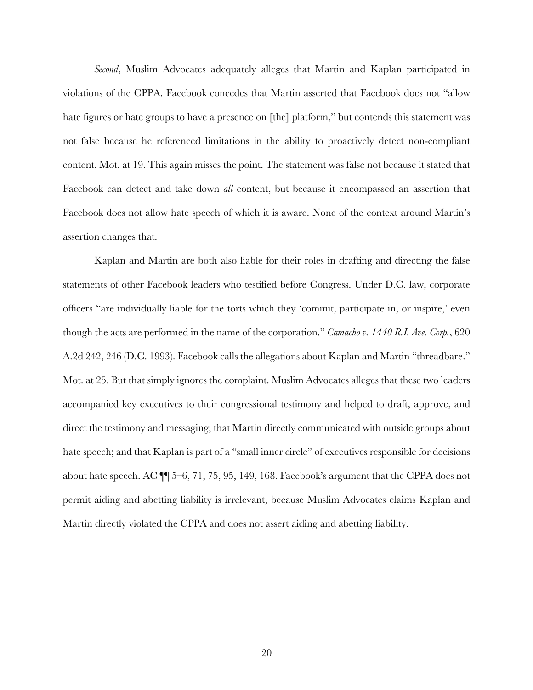*Second*, Muslim Advocates adequately alleges that Martin and Kaplan participated in violations of the CPPA. Facebook concedes that Martin asserted that Facebook does not "allow hate figures or hate groups to have a presence on [the] platform," but contends this statement was not false because he referenced limitations in the ability to proactively detect non-compliant content. Mot. at 19. This again misses the point. The statement was false not because it stated that Facebook can detect and take down *all* content, but because it encompassed an assertion that Facebook does not allow hate speech of which it is aware. None of the context around Martin's assertion changes that.

Kaplan and Martin are both also liable for their roles in drafting and directing the false statements of other Facebook leaders who testified before Congress. Under D.C. law, corporate officers "are individually liable for the torts which they 'commit, participate in, or inspire,' even though the acts are performed in the name of the corporation." *Camacho v. 1440 R.I. Ave. Corp.*, 620 A.2d 242, 246 (D.C. 1993). Facebook calls the allegations about Kaplan and Martin "threadbare." Mot. at 25. But that simply ignores the complaint. Muslim Advocates alleges that these two leaders accompanied key executives to their congressional testimony and helped to draft, approve, and direct the testimony and messaging; that Martin directly communicated with outside groups about hate speech; and that Kaplan is part of a "small inner circle" of executives responsible for decisions about hate speech. AC ¶¶ 5–6, 71, 75, 95, 149, 168. Facebook's argument that the CPPA does not permit aiding and abetting liability is irrelevant, because Muslim Advocates claims Kaplan and Martin directly violated the CPPA and does not assert aiding and abetting liability.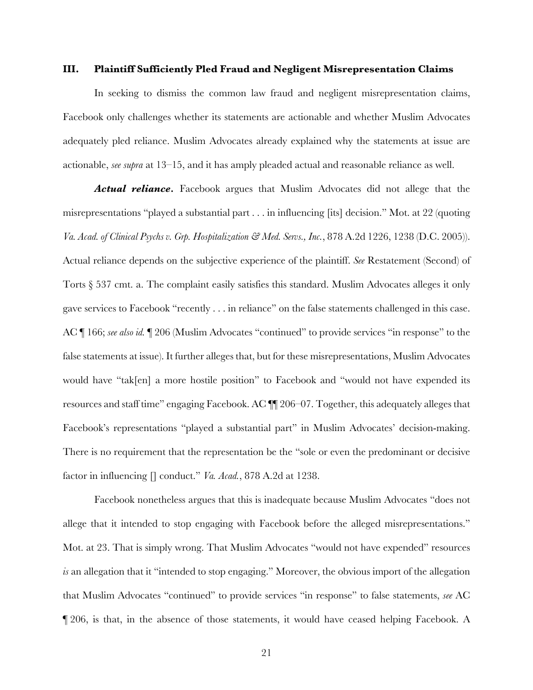#### **III. Plaintiff Sufficiently Pled Fraud and Negligent Misrepresentation Claims**

In seeking to dismiss the common law fraud and negligent misrepresentation claims, Facebook only challenges whether its statements are actionable and whether Muslim Advocates adequately pled reliance. Muslim Advocates already explained why the statements at issue are actionable, *see supra* at 13–15, and it has amply pleaded actual and reasonable reliance as well.

*Actual reliance.* Facebook argues that Muslim Advocates did not allege that the misrepresentations "played a substantial part . . . in influencing [its] decision." Mot. at 22 (quoting *Va. Acad. of Clinical Psychs v. Grp. Hospitalization & Med. Servs., Inc.*, 878 A.2d 1226, 1238 (D.C. 2005)). Actual reliance depends on the subjective experience of the plaintiff. *See* Restatement (Second) of Torts  $\S 537$  cmt. a. The complaint easily satisfies this standard. Muslim Advocates alleges it only gave services to Facebook "recently . . . in reliance" on the false statements challenged in this case. AC ¶ 166; *see also id.* ¶ 206 (Muslim Advocates "continued" to provide services "in response" to the false statements at issue). It further alleges that, but for these misrepresentations, Muslim Advocates would have "tak[en] a more hostile position" to Facebook and "would not have expended its resources and staff time" engaging Facebook. AC ¶¶ 206–07. Together, this adequately alleges that Facebook's representations "played a substantial part" in Muslim Advocates' decision-making. There is no requirement that the representation be the "sole or even the predominant or decisive factor in influencing [] conduct." *Va. Acad.*, 878 A.2d at 1238.

Facebook nonetheless argues that this is inadequate because Muslim Advocates "does not allege that it intended to stop engaging with Facebook before the alleged misrepresentations." Mot. at 23. That is simply wrong. That Muslim Advocates "would not have expended" resources *is* an allegation that it "intended to stop engaging." Moreover, the obvious import of the allegation that Muslim Advocates "continued" to provide services "in response" to false statements, *see* AC ¶ 206, is that, in the absence of those statements, it would have ceased helping Facebook. A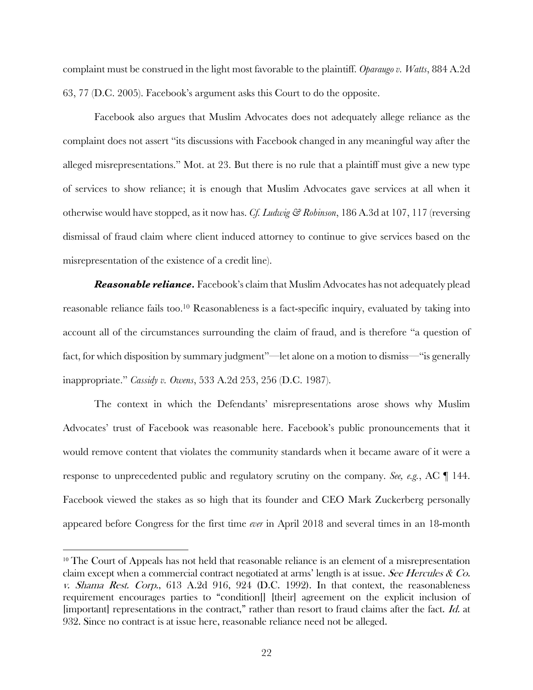complaint must be construed in the light most favorable to the plaintiff. *Oparaugo v. Watts*, 884 A.2d 63, 77 (D.C. 2005). Facebook's argument asks this Court to do the opposite.

Facebook also argues that Muslim Advocates does not adequately allege reliance as the complaint does not assert "its discussions with Facebook changed in any meaningful way after the alleged misrepresentations." Mot. at 23. But there is no rule that a plaintiff must give a new type of services to show reliance; it is enough that Muslim Advocates gave services at all when it otherwise would have stopped, as it now has. *Cf. Ludwig & Robinson*, 186 A.3d at 107, 117 (reversing dismissal of fraud claim where client induced attorney to continue to give services based on the misrepresentation of the existence of a credit line).

*Reasonable reliance.* Facebook's claim that Muslim Advocates has not adequately plead reasonable reliance fails too.<sup>10</sup> Reasonableness is a fact-specific inquiry, evaluated by taking into account all of the circumstances surrounding the claim of fraud, and is therefore "a question of fact, for which disposition by summary judgment"—let alone on a motion to dismiss—"is generally inappropriate." *Cassidy v. Owens*, 533 A.2d 253, 256 (D.C. 1987).

The context in which the Defendants' misrepresentations arose shows why Muslim Advocates' trust of Facebook was reasonable here. Facebook's public pronouncements that it would remove content that violates the community standards when it became aware of it were a response to unprecedented public and regulatory scrutiny on the company. *See, e.g.*, AC ¶ 144. Facebook viewed the stakes as so high that its founder and CEO Mark Zuckerberg personally appeared before Congress for the first time *ever* in April 2018 and several times in an 18-month

<sup>&</sup>lt;sup>10</sup> The Court of Appeals has not held that reasonable reliance is an element of a misrepresentation claim except when a commercial contract negotiated at arms' length is at issue. See Hercules  $\&$  Co. v. Shama Rest. Corp., 613 A.2d 916, 924 (D.C. 1992). In that context, the reasonableness requirement encourages parties to "condition[] [their] agreement on the explicit inclusion of [important] representations in the contract," rather than resort to fraud claims after the fact. Id. at 932. Since no contract is at issue here, reasonable reliance need not be alleged.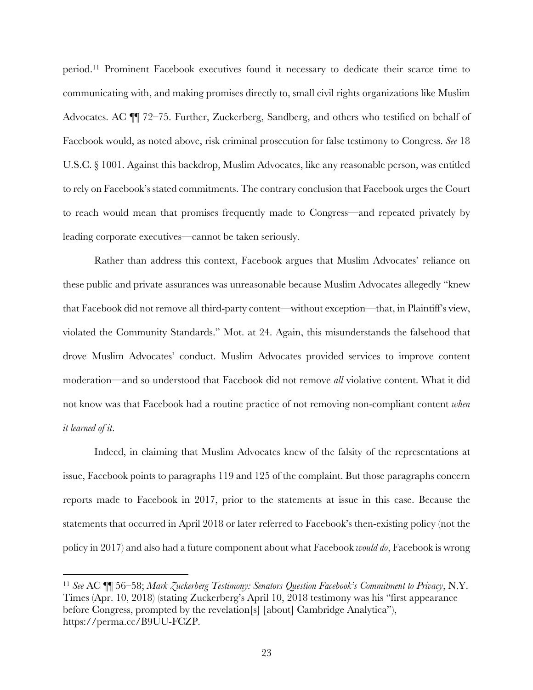period. <sup>11</sup> Prominent Facebook executives found it necessary to dedicate their scarce time to communicating with, and making promises directly to, small civil rights organizations like Muslim Advocates. AC ¶¶ 72–75. Further, Zuckerberg, Sandberg, and others who testified on behalf of Facebook would, as noted above, risk criminal prosecution for false testimony to Congress. *See* 18 U.S.C. § 1001. Against this backdrop, Muslim Advocates, like any reasonable person, was entitled to rely on Facebook's stated commitments. The contrary conclusion that Facebook urges the Court to reach would mean that promises frequently made to Congress—and repeated privately by leading corporate executives—cannot be taken seriously.

Rather than address this context, Facebook argues that Muslim Advocates' reliance on these public and private assurances was unreasonable because Muslim Advocates allegedly "knew that Facebook did not remove all third-party content—without exception—that, in Plaintiff's view, violated the Community Standards." Mot. at 24. Again, this misunderstands the falsehood that drove Muslim Advocates' conduct. Muslim Advocates provided services to improve content moderation—and so understood that Facebook did not remove *all* violative content. What it did not know was that Facebook had a routine practice of not removing non-compliant content *when it learned of it*.

Indeed, in claiming that Muslim Advocates knew of the falsity of the representations at issue, Facebook points to paragraphs 119 and 125 of the complaint. But those paragraphs concern reports made to Facebook in 2017, prior to the statements at issue in this case. Because the statements that occurred in April 2018 or later referred to Facebook's then-existing policy (not the policy in 2017) and also had a future component about what Facebook *would do*, Facebook is wrong

<sup>11</sup> *See* AC ¶¶ 56–58; *Mark Zuckerberg Testimony: Senators Question Facebook's Commitment to Privacy*, N.Y. Times (Apr. 10, 2018) (stating Zuckerberg's April 10, 2018 testimony was his "first appearance before Congress, prompted by the revelation[s] [about] Cambridge Analytica"), https://perma.cc/B9UU-FCZP.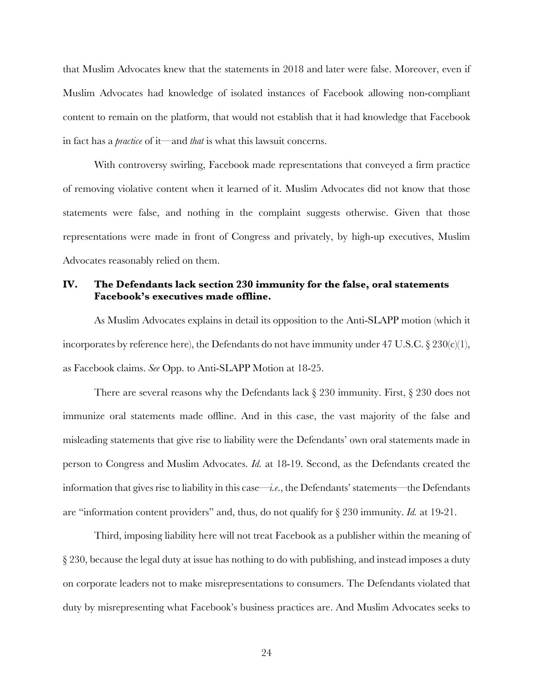that Muslim Advocates knew that the statements in 2018 and later were false. Moreover, even if Muslim Advocates had knowledge of isolated instances of Facebook allowing non-compliant content to remain on the platform, that would not establish that it had knowledge that Facebook in fact has a *practice* of it—and *that* is what this lawsuit concerns.

With controversy swirling, Facebook made representations that conveyed a firm practice of removing violative content when it learned of it. Muslim Advocates did not know that those statements were false, and nothing in the complaint suggests otherwise. Given that those representations were made in front of Congress and privately, by high-up executives, Muslim Advocates reasonably relied on them.

# **IV. The Defendants lack section 230 immunity for the false, oral statements Facebook's executives made offline.**

As Muslim Advocates explains in detail its opposition to the Anti-SLAPP motion (which it incorporates by reference here), the Defendants do not have immunity under 47 U.S.C.  $\S 230(c)(1)$ , as Facebook claims. *See* Opp. to Anti-SLAPP Motion at 18-25.

There are several reasons why the Defendants lack  $\S 230$  immunity. First,  $\S 230$  does not immunize oral statements made offline. And in this case, the vast majority of the false and misleading statements that give rise to liability were the Defendants' own oral statements made in person to Congress and Muslim Advocates. *Id.* at 18-19. Second, as the Defendants created the information that gives rise to liability in this case—*i.e*., the Defendants' statements—the Defendants are "information content providers" and, thus, do not qualify for § 230 immunity. *Id.* at 19-21.

Third, imposing liability here will not treat Facebook as a publisher within the meaning of § 230, because the legal duty at issue has nothing to do with publishing, and instead imposes a duty on corporate leaders not to make misrepresentations to consumers. The Defendants violated that duty by misrepresenting what Facebook's business practices are. And Muslim Advocates seeks to